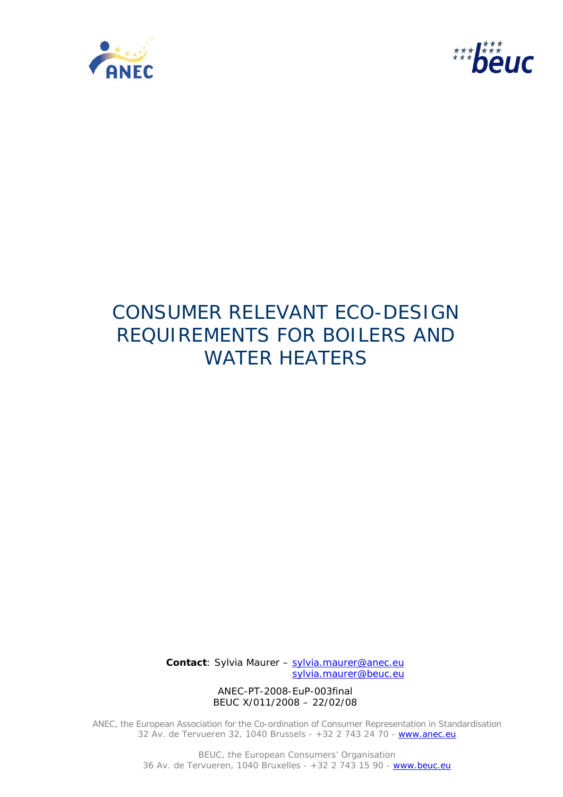



# CONSUMER RELEVANT ECO-DESIGN REQUIREMENTS FOR BOILERS AND WATER HEATERS

 **Contact**: Sylvia Maurer – sylvia.maurer@anec.eu sylvia.maurer@beuc.eu

> ANEC-PT-2008-EuP-003final BEUC X/011/2008 – 22/02/08

ANEC, the European Association for the Co-ordination of Consumer Representation in Standardisation 32 Av. de Tervueren 32, 1040 Brussels - +32 2 743 24 70 - www.anec.eu

> BEUC, the European Consumers' Organisation 36 Av. de Tervueren, 1040 Bruxelles - +32 2 743 15 90 - www.beuc.eu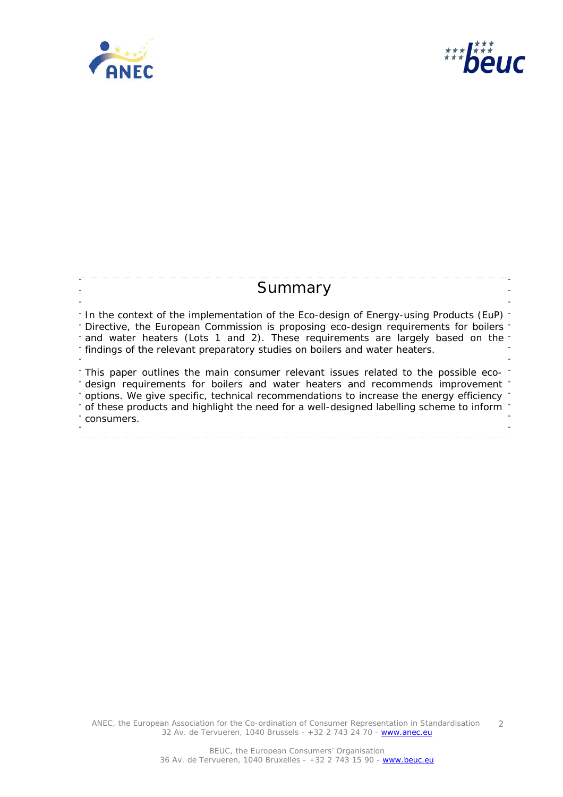



# **Summary** <sup>-</sup> In the context of the implementation of the Eco-design of Energy-using Products (EuP) <sup>-</sup> f Directive, the European Commission is proposing eco-design requirements for boilers and water heaters (Lots 1 and 2). These requirements are largely based on the findings of the relevant preparatory studies on boilers and water heaters. This paper outlines the main consumer relevant issues related to the possible ecodesign requirements for boilers and water heaters and recommends improvement options. We give specific, technical recommendations to increase the energy efficiency of these products and highlight the need for a well-designed labelling scheme to inform consumers.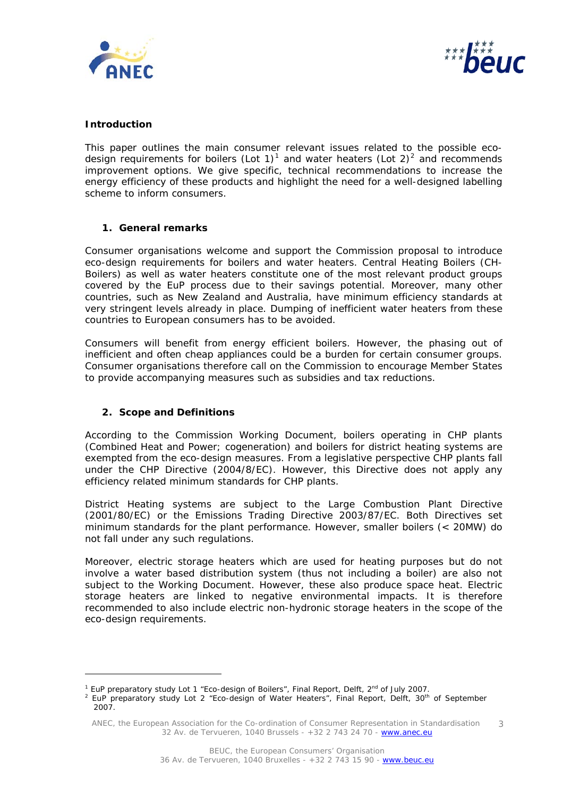



#### **Introduction**

This paper outlines the main consumer relevant issues related to the possible eco-design requirements for boilers (Lot [1](#page-2-0))<sup>1</sup> and water heaters (Lot [2](#page-2-1))<sup>2</sup> and recommends improvement options. We give specific, technical recommendations to increase the energy efficiency of these products and highlight the need for a well-designed labelling scheme to inform consumers.

### **1. General remarks**

Consumer organisations welcome and support the Commission proposal to introduce eco-design requirements for boilers and water heaters. Central Heating Boilers (CH-Boilers) as well as water heaters constitute one of the most relevant product groups covered by the EuP process due to their savings potential. Moreover, many other countries, such as New Zealand and Australia, have minimum efficiency standards at very stringent levels already in place. Dumping of inefficient water heaters from these countries to European consumers has to be avoided.

Consumers will benefit from energy efficient boilers. However, the phasing out of inefficient and often cheap appliances could be a burden for certain consumer groups. Consumer organisations therefore call on the Commission to encourage Member States to provide accompanying measures such as subsidies and tax reductions.

### **2. Scope and Definitions**

ł

According to the Commission Working Document, boilers operating in CHP plants (Combined Heat and Power; cogeneration) and boilers for district heating systems are exempted from the eco-design measures. From a legislative perspective CHP plants fall under the CHP Directive (2004/8/EC). However, this Directive does not apply any efficiency related minimum standards for CHP plants.

District Heating systems are subject to the Large Combustion Plant Directive (2001/80/EC) or the Emissions Trading Directive 2003/87/EC. Both Directives set minimum standards for the plant performance. However, smaller boilers (< 20MW) do not fall under any such regulations.

Moreover, electric storage heaters which are used for heating purposes but do not involve a water based distribution system (thus not including a boiler) are also not subject to the Working Document. However, these also produce space heat. Electric storage heaters are linked to negative environmental impacts. It is therefore recommended to also include electric non-hydronic storage heaters in the scope of the eco-design requirements.

<sup>&</sup>lt;sup>1</sup> EuP preparatory study Lot 1 "Eco-design of Boilers", Final Report, Delft, 2<sup>nd</sup> of July 2007.<br><sup>2</sup> EuP preparatory study Lot 2 "Eso design of Water Heaters", Final Beport, Delft, 20<sup>th</sup>.

<span id="page-2-1"></span><span id="page-2-0"></span><sup>&</sup>lt;sup>2</sup> EuP preparatory study Lot 2 "Eco-design of Water Heaters", Final Report, Delft, 30<sup>th</sup> of September 2007.

ANEC, the European Association for the Co-ordination of Consumer Representation in Standardisation 32 Av. de Tervueren, 1040 Brussels - +32 2 743 24 70 - www.anec.eu 3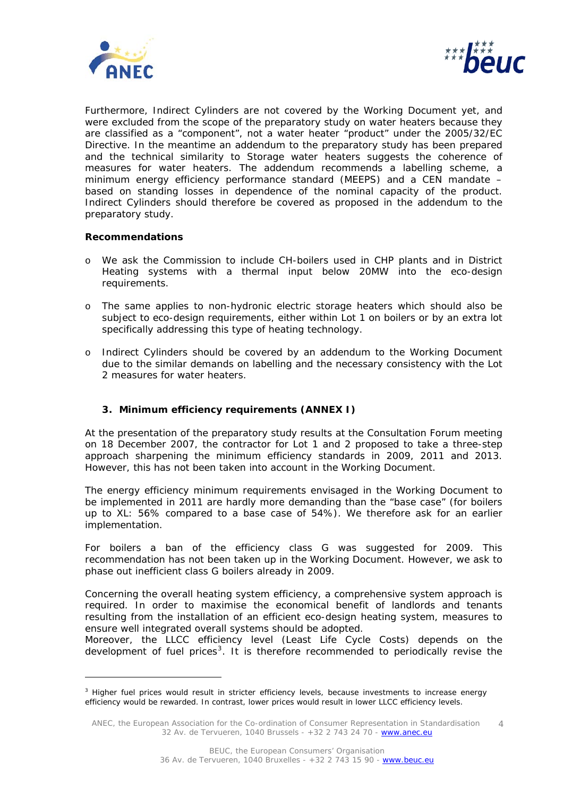



Furthermore, Indirect Cylinders are not covered by the Working Document yet, and were excluded from the scope of the preparatory study on water heaters because they are classified as a "component", not a water heater "product" under the 2005/32/EC Directive. In the meantime an addendum to the preparatory study has been prepared and the technical similarity to Storage water heaters suggests the coherence of measures for water heaters. The addendum recommends a labelling scheme, a minimum energy efficiency performance standard (MEEPS) and a CEN mandate – based on standing losses in dependence of the nominal capacity of the product. Indirect Cylinders should therefore be covered as proposed in the addendum to the preparatory study.

#### *Recommendations*

ł

- o We ask the Commission to include CH-boilers used in CHP plants and in District Heating systems with a thermal input below 20MW into the eco-design requirements.
- o The same applies to non-hydronic electric storage heaters which should also be subject to eco-design requirements, either within Lot 1 on boilers or by an extra lot specifically addressing this type of heating technology.
- o Indirect Cylinders should be covered by an addendum to the Working Document due to the similar demands on labelling and the necessary consistency with the Lot 2 measures for water heaters.

### **3. Minimum efficiency requirements (ANNEX I)**

At the presentation of the preparatory study results at the Consultation Forum meeting on 18 December 2007, the contractor for Lot 1 and 2 proposed to take a three-step approach sharpening the minimum efficiency standards in 2009, 2011 and 2013. However, this has not been taken into account in the Working Document.

The energy efficiency minimum requirements envisaged in the Working Document to be implemented in 2011 are hardly more demanding than the "base case" (for boilers up to XL: 56% compared to a base case of 54%). We therefore ask for an earlier implementation.

For boilers a ban of the efficiency class G was suggested for 2009. This recommendation has not been taken up in the Working Document. However, we ask to phase out inefficient class G boilers already in 2009.

Concerning the overall heating system efficiency, a comprehensive system approach is required. In order to maximise the economical benefit of landlords and tenants resulting from the installation of an efficient eco-design heating system, measures to ensure well integrated overall systems should be adopted.

Moreover, the LLCC efficiency level (Least Life Cycle Costs) depends on the development of fuel prices<sup>[3](#page-3-0)</sup>. It is therefore recommended to periodically revise the

<span id="page-3-0"></span><sup>&</sup>lt;sup>3</sup> Higher fuel prices would result in stricter efficiency levels, because investments to increase energy efficiency would be rewarded. In contrast, lower prices would result in lower LLCC efficiency levels.

ANEC, the European Association for the Co-ordination of Consumer Representation in Standardisation 32 Av. de Tervueren, 1040 Brussels - +32 2 743 24 70 - www.anec.eu 4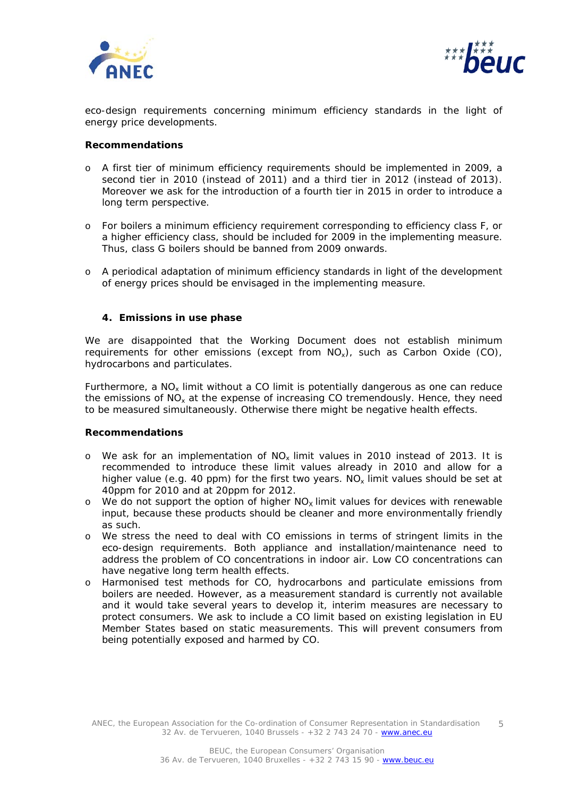



eco-design requirements concerning minimum efficiency standards in the light of energy price developments.

#### *Recommendations*

- o A first tier of minimum efficiency requirements should be implemented in 2009, a second tier in 2010 (instead of 2011) and a third tier in 2012 (instead of 2013). Moreover we ask for the introduction of a fourth tier in 2015 in order to introduce a long term perspective.
- o For boilers a minimum efficiency requirement corresponding to efficiency class F, or a higher efficiency class, should be included for 2009 in the implementing measure. Thus, class G boilers should be banned from 2009 onwards.
- o A periodical adaptation of minimum efficiency standards in light of the development of energy prices should be envisaged in the implementing measure.

### **4. Emissions in use phase**

We are disappointed that the Working Document does not establish minimum requirements for other emissions (except from  $NO_x$ ), such as Carbon Oxide (CO), hydrocarbons and particulates.

Furthermore, a  $NO_x$  limit without a CO limit is potentially dangerous as one can reduce the emissions of  $NO<sub>x</sub>$  at the expense of increasing CO tremendously. Hence, they need to be measured simultaneously. Otherwise there might be negative health effects.

### *Recommendations*

- o We ask for an implementation of  $NO_x$  limit values in 2010 instead of 2013. It is recommended to introduce these limit values already in 2010 and allow for a higher value (e.g. 40 ppm) for the first two years.  $N_{\alpha}$  limit values should be set at 40ppm for 2010 and at 20ppm for 2012.
- $\circ$  We do not support the option of higher NO<sub>x</sub> limit values for devices with renewable input, because these products should be cleaner and more environmentally friendly as such.
- o We stress the need to deal with CO emissions in terms of stringent limits in the eco-design requirements. Both appliance and installation/maintenance need to address the problem of CO concentrations in indoor air. Low CO concentrations can have negative long term health effects.
- o Harmonised test methods for CO, hydrocarbons and particulate emissions from boilers are needed. However, as a measurement standard is currently not available and it would take several years to develop it, interim measures are necessary to protect consumers. We ask to include a CO limit based on existing legislation in EU Member States based on static measurements. This will prevent consumers from being potentially exposed and harmed by CO.

ANEC, the European Association for the Co-ordination of Consumer Representation in Standardisation 32 Av. de Tervueren, 1040 Brussels - +32 2 743 24 70 - www.anec.eu 5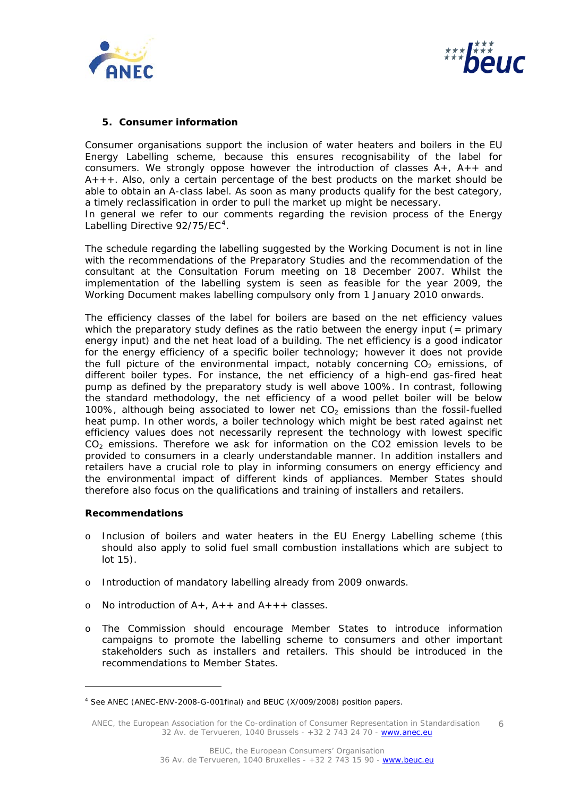



## **5. Consumer information**

Consumer organisations support the inclusion of water heaters and boilers in the EU Energy Labelling scheme, because this ensures recognisability of the label for consumers. We strongly oppose however the introduction of classes  $A_{+}$ ,  $A_{+}$  and  $A_{+++}$ . Also, only a certain percentage of the best products on the market should be able to obtain an A-class label. As soon as many products qualify for the best category, a timely reclassification in order to pull the market up might be necessary. In general we refer to our comments regarding the revision process of the Energy Labelling Directive  $92/75$ /EC<sup>[4](#page-5-0)</sup>.

The schedule regarding the labelling suggested by the Working Document is not in line with the recommendations of the Preparatory Studies and the recommendation of the consultant at the Consultation Forum meeting on 18 December 2007. Whilst the implementation of the labelling system is seen as feasible for the year 2009, the Working Document makes labelling compulsory only from 1 January 2010 onwards.

The efficiency classes of the label for boilers are based on the net efficiency values which the preparatory study defines as the ratio between the energy input  $($  = primary energy input) and the net heat load of a building. The net efficiency is a good indicator for the energy efficiency of a specific boiler technology; however it does not provide the full picture of the environmental impact, notably concerning  $CO<sub>2</sub>$  emissions, of different boiler types. For instance, the net efficiency of a high-end gas-fired heat pump as defined by the preparatory study is well above 100%. In contrast, following the standard methodology, the net efficiency of a wood pellet boiler will be below 100%, although being associated to lower net  $CO<sub>2</sub>$  emissions than the fossil-fuelled heat pump. In other words, a boiler technology which might be best rated against net efficiency values does not necessarily represent the technology with lowest specific CO<sub>2</sub> emissions. Therefore we ask for information on the CO2 emission levels to be provided to consumers in a clearly understandable manner. In addition installers and retailers have a crucial role to play in informing consumers on energy efficiency and the environmental impact of different kinds of appliances. Member States should therefore also focus on the qualifications and training of installers and retailers.

### *Recommendations*

ł

- o Inclusion of boilers and water heaters in the EU Energy Labelling scheme (this should also apply to solid fuel small combustion installations which are subject to lot 15).
- o Introduction of mandatory labelling already from 2009 onwards.
- o No introduction of  $A_{+}$ ,  $A_{+}$  and  $A_{+}$  + classes.
- o The Commission should encourage Member States to introduce information campaigns to promote the labelling scheme to consumers and other important stakeholders such as installers and retailers. This should be introduced in the recommendations to Member States.

<span id="page-5-0"></span><sup>4</sup> See ANEC (ANEC-ENV-2008-G-001final) and BEUC (X/009/2008) position papers.

ANEC, the European Association for the Co-ordination of Consumer Representation in Standardisation 32 Av. de Tervueren, 1040 Brussels - +32 2 743 24 70 - www.anec.eu 6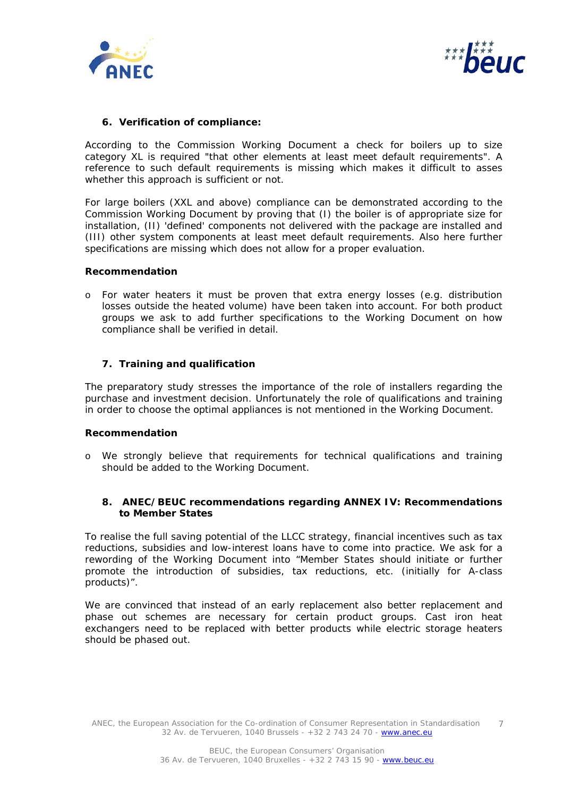



#### **6. Verification of compliance:**

According to the Commission Working Document a check for boilers up to size category XL is required "*that other elements at least meet default requirements"*. A reference to such default requirements is missing which makes it difficult to asses whether this approach is sufficient or not.

For large boilers (XXL and above) compliance can be demonstrated according to the Commission Working Document by proving that (I) the boiler is of appropriate size for installation, (II) 'defined' components not delivered with the package are installed and (III) other system components at least meet default requirements. Also here further specifications are missing which does not allow for a proper evaluation.

#### *Recommendation*

o For water heaters it must be proven that extra energy losses (e.g. distribution losses outside the heated volume) have been taken into account. For both product groups we ask to add further specifications to the Working Document on how compliance shall be verified in detail.

#### **7. Training and qualification**

The preparatory study stresses the importance of the role of installers regarding the purchase and investment decision. Unfortunately the role of qualifications and training in order to choose the optimal appliances is not mentioned in the Working Document.

#### *Recommendation*

o We strongly believe that requirements for technical qualifications and training should be added to the Working Document.

#### **8. ANEC/BEUC recommendations regarding ANNEX IV: Recommendations to Member States**

To realise the full saving potential of the LLCC strategy, financial incentives such as tax reductions, subsidies and low-interest loans have to come into practice. We ask for a rewording of the Working Document into "Member States should initiate or further promote the introduction of subsidies, tax reductions, etc. (initially for A-class products)".

We are convinced that instead of an early replacement also better replacement and phase out schemes are necessary for certain product groups. Cast iron heat exchangers need to be replaced with better products while electric storage heaters should be phased out.

ANEC, the European Association for the Co-ordination of Consumer Representation in Standardisation 32 Av. de Tervueren, 1040 Brussels - +32 2 743 24 70 - www.anec.eu 7